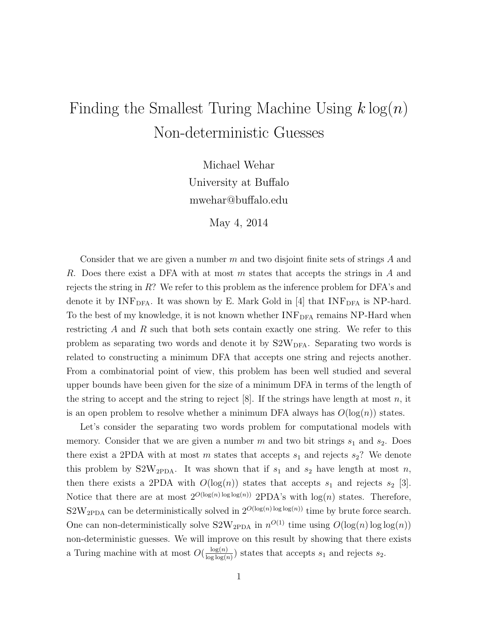## Finding the Smallest Turing Machine Using  $k \log(n)$ Non-deterministic Guesses

Michael Wehar University at Buffalo mwehar@buffalo.edu

May 4, 2014

Consider that we are given a number  $m$  and two disjoint finite sets of strings  $A$  and R. Does there exist a DFA with at most m states that accepts the strings in A and rejects the string in  $R$ ? We refer to this problem as the inference problem for DFA's and denote it by  $INF<sub>DFA</sub>$ . It was shown by E. Mark Gold in [4] that  $INF<sub>DFA</sub>$  is NP-hard. To the best of my knowledge, it is not known whether  $INF<sub>DFA</sub>$  remains NP-Hard when restricting  $A$  and  $R$  such that both sets contain exactly one string. We refer to this problem as separating two words and denote it by  $S2W<sub>DFA</sub>$ . Separating two words is related to constructing a minimum DFA that accepts one string and rejects another. From a combinatorial point of view, this problem has been well studied and several upper bounds have been given for the size of a minimum DFA in terms of the length of the string to accept and the string to reject  $[8]$ . If the strings have length at most n, it is an open problem to resolve whether a minimum DFA always has  $O(\log(n))$  states.

Let's consider the separating two words problem for computational models with memory. Consider that we are given a number  $m$  and two bit strings  $s_1$  and  $s_2$ . Does there exist a 2PDA with at most m states that accepts  $s_1$  and rejects  $s_2$ ? We denote this problem by  $S2W_{\text{2PDA}}$ . It was shown that if  $s_1$  and  $s_2$  have length at most n, then there exists a 2PDA with  $O(log(n))$  states that accepts  $s_1$  and rejects  $s_2$  [3]. Notice that there are at most  $2^{O(\log(n)\log\log(n))}$  2PDA's with  $\log(n)$  states. Therefore,  $S2W_{\text{2PDA}}$  can be deterministically solved in  $2^{O(\log(n)\log\log(n))}$  time by brute force search. One can non-deterministically solve  $S2W_{2PDA}$  in  $n^{O(1)}$  time using  $O(log(n)log log(n))$ non-deterministic guesses. We will improve on this result by showing that there exists a Turing machine with at most  $O(\frac{\log(n)}{\log\log(n)})$  $\frac{\log(n)}{\log\log(n)}$  states that accepts  $s_1$  and rejects  $s_2$ .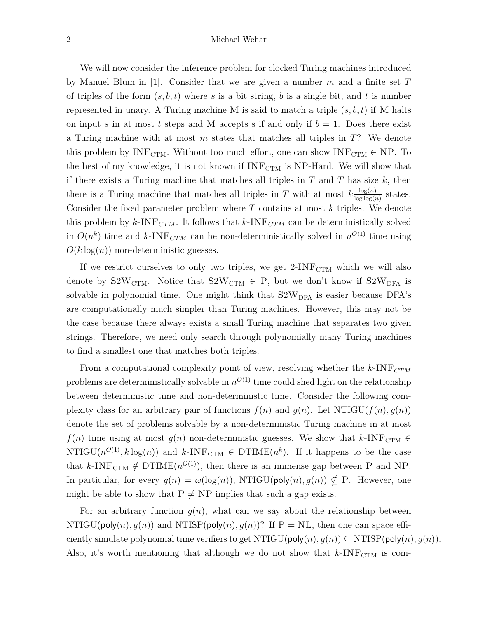We will now consider the inference problem for clocked Turing machines introduced by Manuel Blum in [1]. Consider that we are given a number m and a finite set  $T$ of triples of the form  $(s, b, t)$  where s is a bit string, b is a single bit, and t is number represented in unary. A Turing machine M is said to match a triple  $(s, b, t)$  if M halts on input s in at most t steps and M accepts s if and only if  $b = 1$ . Does there exist a Turing machine with at most m states that matches all triples in  $T$ ? We denote this problem by  $\text{INF}_{\text{CTM}}.$  Without too much effort, one can show  $\text{INF}_{\text{CTM}} \in \text{NP}.$  To the best of my knowledge, it is not known if  $INF_{CTM}$  is NP-Hard. We will show that if there exists a Turing machine that matches all triples in  $T$  and  $T$  has size  $k$ , then there is a Turing machine that matches all triples in T with at most  $k \frac{\log(n)}{\log\log(n)}$  $\frac{\log(n)}{\log\log(n)}$  states. Consider the fixed parameter problem where  $T$  contains at most  $k$  triples. We denote this problem by  $k$ -INF<sub>CTM</sub>. It follows that  $k$ -INF<sub>CTM</sub> can be deterministically solved in  $O(n^k)$  time and k-INF<sub>CTM</sub> can be non-deterministically solved in  $n^{O(1)}$  time using  $O(k \log(n))$  non-deterministic guesses.

If we restrict ourselves to only two triples, we get  $2$ -INF $_{\text{CTM}}$  which we will also denote by  $S2W_{\text{CTM}}$ . Notice that  $S2W_{\text{CTM}} \in \text{P}$ , but we don't know if  $S2W_{\text{DFA}}$  is solvable in polynomial time. One might think that  $S2W<sub>DFA</sub>$  is easier because DFA's are computationally much simpler than Turing machines. However, this may not be the case because there always exists a small Turing machine that separates two given strings. Therefore, we need only search through polynomially many Turing machines to find a smallest one that matches both triples.

From a computational complexity point of view, resolving whether the  $k$ -INF $_{CTM}$ problems are deterministically solvable in  $n^{O(1)}$  time could shed light on the relationship between deterministic time and non-deterministic time. Consider the following complexity class for an arbitrary pair of functions  $f(n)$  and  $g(n)$ . Let NTIGU( $f(n)$ ,  $g(n)$ ) denote the set of problems solvable by a non-deterministic Turing machine in at most  $f(n)$  time using at most  $g(n)$  non-deterministic guesses. We show that  $k$ -INF<sub>CTM</sub>  $\in$ NTIGU( $n^{O(1)}$ ,  $k \log(n)$ ) and  $k$ -INF<sub>CTM</sub>  $\in$  DTIME( $n^k$ ). If it happens to be the case that k-INF<sub>CTM</sub>  $\notin$  DTIME( $n^{O(1)}$ ), then there is an immense gap between P and NP. In particular, for every  $g(n) = \omega(\log(n))$ , NTIGU(poly $(n), g(n)$ )  $\nsubseteq$  P. However, one might be able to show that  $P \neq NP$  implies that such a gap exists.

For an arbitrary function  $q(n)$ , what can we say about the relationship between  $NTIGU(poly(n), q(n))$  and  $NTISP(poly(n), q(n))$ ? If  $P = NL$ , then one can space efficiently simulate polynomial time verifiers to get NTIGU( $\mathsf{poly}(n), g(n)$ )  $\subseteq$  NTISP( $\mathsf{poly}(n), g(n)$ ). Also, it's worth mentioning that although we do not show that  $k$ -INF<sub>CTM</sub> is com